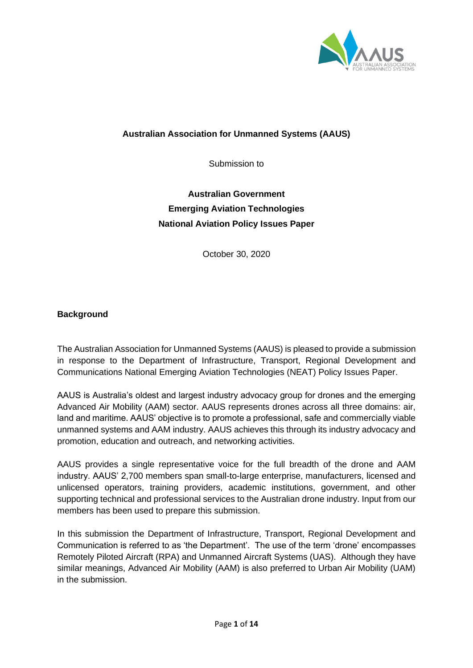

## **Australian Association for Unmanned Systems (AAUS)**

Submission to

# **Australian Government Emerging Aviation Technologies National Aviation Policy Issues Paper**

October 30, 2020

## **Background**

The Australian Association for Unmanned Systems (AAUS) is pleased to provide a submission in response to the Department of Infrastructure, Transport, Regional Development and Communications National Emerging Aviation Technologies (NEAT) Policy Issues Paper.

AAUS is Australia's oldest and largest industry advocacy group for drones and the emerging Advanced Air Mobility (AAM) sector. AAUS represents drones across all three domains: air, land and maritime. AAUS' objective is to promote a professional, safe and commercially viable unmanned systems and AAM industry. AAUS achieves this through its industry advocacy and promotion, education and outreach, and networking activities.

AAUS provides a single representative voice for the full breadth of the drone and AAM industry. AAUS' 2,700 members span small-to-large enterprise, manufacturers, licensed and unlicensed operators, training providers, academic institutions, government, and other supporting technical and professional services to the Australian drone industry. Input from our members has been used to prepare this submission.

In this submission the Department of Infrastructure, Transport, Regional Development and Communication is referred to as 'the Department'. The use of the term 'drone' encompasses Remotely Piloted Aircraft (RPA) and Unmanned Aircraft Systems (UAS). Although they have similar meanings, Advanced Air Mobility (AAM) is also preferred to Urban Air Mobility (UAM) in the submission.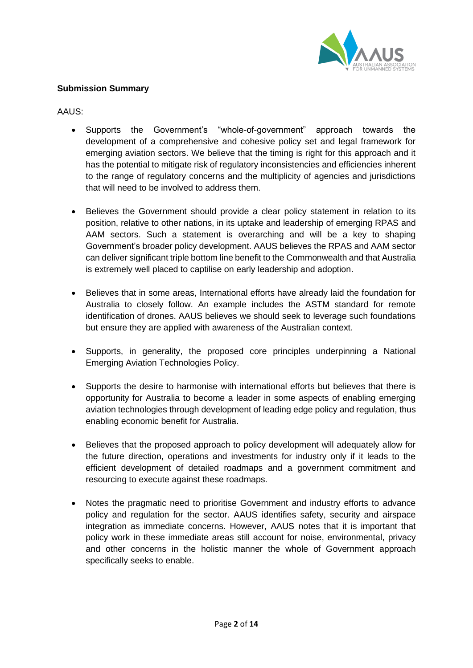

## **Submission Summary**

AAUS:

- Supports the Government's "whole-of-government" approach towards the development of a comprehensive and cohesive policy set and legal framework for emerging aviation sectors. We believe that the timing is right for this approach and it has the potential to mitigate risk of regulatory inconsistencies and efficiencies inherent to the range of regulatory concerns and the multiplicity of agencies and jurisdictions that will need to be involved to address them.
- Believes the Government should provide a clear policy statement in relation to its position, relative to other nations, in its uptake and leadership of emerging RPAS and AAM sectors. Such a statement is overarching and will be a key to shaping Government's broader policy development. AAUS believes the RPAS and AAM sector can deliver significant triple bottom line benefit to the Commonwealth and that Australia is extremely well placed to captilise on early leadership and adoption.
- Believes that in some areas, International efforts have already laid the foundation for Australia to closely follow. An example includes the ASTM standard for remote identification of drones. AAUS believes we should seek to leverage such foundations but ensure they are applied with awareness of the Australian context.
- Supports, in generality, the proposed core principles underpinning a National Emerging Aviation Technologies Policy.
- Supports the desire to harmonise with international efforts but believes that there is opportunity for Australia to become a leader in some aspects of enabling emerging aviation technologies through development of leading edge policy and regulation, thus enabling economic benefit for Australia.
- Believes that the proposed approach to policy development will adequately allow for the future direction, operations and investments for industry only if it leads to the efficient development of detailed roadmaps and a government commitment and resourcing to execute against these roadmaps.
- Notes the pragmatic need to prioritise Government and industry efforts to advance policy and regulation for the sector. AAUS identifies safety, security and airspace integration as immediate concerns. However, AAUS notes that it is important that policy work in these immediate areas still account for noise, environmental, privacy and other concerns in the holistic manner the whole of Government approach specifically seeks to enable.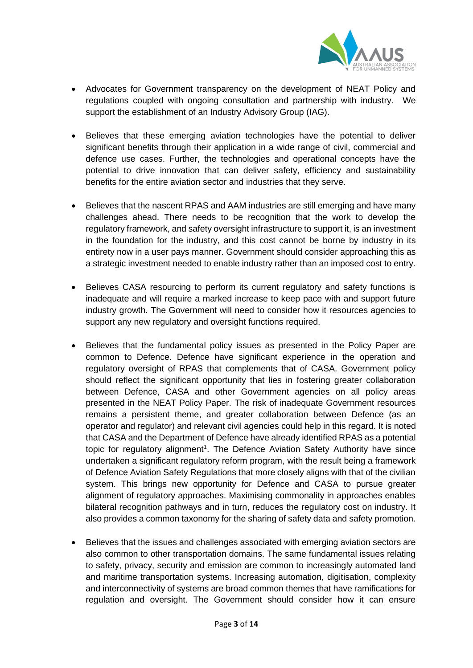

- Advocates for Government transparency on the development of NEAT Policy and regulations coupled with ongoing consultation and partnership with industry. We support the establishment of an Industry Advisory Group (IAG).
- Believes that these emerging aviation technologies have the potential to deliver significant benefits through their application in a wide range of civil, commercial and defence use cases. Further, the technologies and operational concepts have the potential to drive innovation that can deliver safety, efficiency and sustainability benefits for the entire aviation sector and industries that they serve.
- Believes that the nascent RPAS and AAM industries are still emerging and have many challenges ahead. There needs to be recognition that the work to develop the regulatory framework, and safety oversight infrastructure to support it, is an investment in the foundation for the industry, and this cost cannot be borne by industry in its entirety now in a user pays manner. Government should consider approaching this as a strategic investment needed to enable industry rather than an imposed cost to entry.
- Believes CASA resourcing to perform its current regulatory and safety functions is inadequate and will require a marked increase to keep pace with and support future industry growth. The Government will need to consider how it resources agencies to support any new regulatory and oversight functions required.
- Believes that the fundamental policy issues as presented in the Policy Paper are common to Defence. Defence have significant experience in the operation and regulatory oversight of RPAS that complements that of CASA. Government policy should reflect the significant opportunity that lies in fostering greater collaboration between Defence, CASA and other Government agencies on all policy areas presented in the NEAT Policy Paper. The risk of inadequate Government resources remains a persistent theme, and greater collaboration between Defence (as an operator and regulator) and relevant civil agencies could help in this regard. It is noted that CASA and the Department of Defence have already identified RPAS as a potential topic for regulatory alignment<sup>1</sup>. The Defence Aviation Safety Authority have since undertaken a significant regulatory reform program, with the result being a framework of Defence Aviation Safety Regulations that more closely aligns with that of the civilian system. This brings new opportunity for Defence and CASA to pursue greater alignment of regulatory approaches. Maximising commonality in approaches enables bilateral recognition pathways and in turn, reduces the regulatory cost on industry. It also provides a common taxonomy for the sharing of safety data and safety promotion.
- Believes that the issues and challenges associated with emerging aviation sectors are also common to other transportation domains. The same fundamental issues relating to safety, privacy, security and emission are common to increasingly automated land and maritime transportation systems. Increasing automation, digitisation, complexity and interconnectivity of systems are broad common themes that have ramifications for regulation and oversight. The Government should consider how it can ensure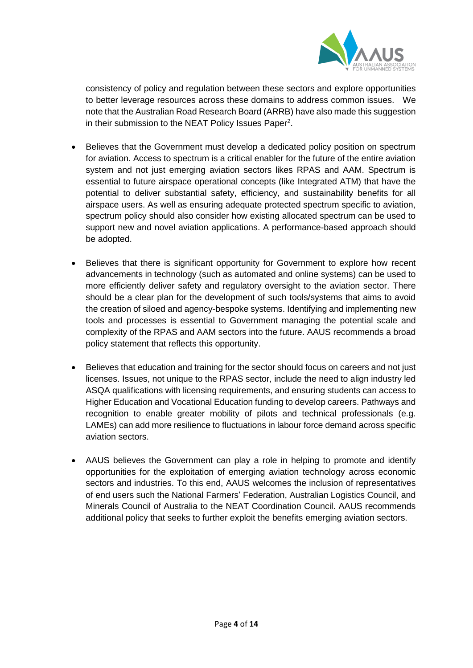

consistency of policy and regulation between these sectors and explore opportunities to better leverage resources across these domains to address common issues. We note that the Australian Road Research Board (ARRB) have also made this suggestion in their submission to the NEAT Policy Issues Paper<sup>2</sup>.

- Believes that the Government must develop a dedicated policy position on spectrum for aviation. Access to spectrum is a critical enabler for the future of the entire aviation system and not just emerging aviation sectors likes RPAS and AAM. Spectrum is essential to future airspace operational concepts (like Integrated ATM) that have the potential to deliver substantial safety, efficiency, and sustainability benefits for all airspace users. As well as ensuring adequate protected spectrum specific to aviation, spectrum policy should also consider how existing allocated spectrum can be used to support new and novel aviation applications. A performance-based approach should be adopted.
- Believes that there is significant opportunity for Government to explore how recent advancements in technology (such as automated and online systems) can be used to more efficiently deliver safety and regulatory oversight to the aviation sector. There should be a clear plan for the development of such tools/systems that aims to avoid the creation of siloed and agency-bespoke systems. Identifying and implementing new tools and processes is essential to Government managing the potential scale and complexity of the RPAS and AAM sectors into the future. AAUS recommends a broad policy statement that reflects this opportunity.
- Believes that education and training for the sector should focus on careers and not just licenses. Issues, not unique to the RPAS sector, include the need to align industry led ASQA qualifications with licensing requirements, and ensuring students can access to Higher Education and Vocational Education funding to develop careers. Pathways and recognition to enable greater mobility of pilots and technical professionals (e.g. LAMEs) can add more resilience to fluctuations in labour force demand across specific aviation sectors.
- AAUS believes the Government can play a role in helping to promote and identify opportunities for the exploitation of emerging aviation technology across economic sectors and industries. To this end, AAUS welcomes the inclusion of representatives of end users such the National Farmers' Federation, Australian Logistics Council, and Minerals Council of Australia to the NEAT Coordination Council. AAUS recommends additional policy that seeks to further exploit the benefits emerging aviation sectors.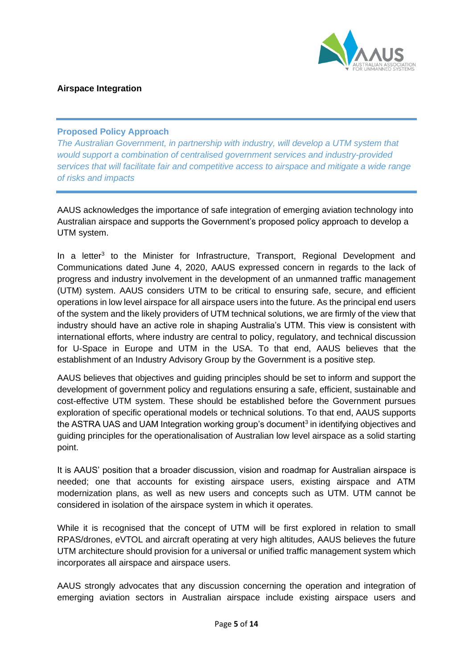

## **Airspace Integration**

## **Proposed Policy Approach**

*The Australian Government, in partnership with industry, will develop a UTM system that would support a combination of centralised government services and industry-provided services that will facilitate fair and competitive access to airspace and mitigate a wide range of risks and impacts*

AAUS acknowledges the importance of safe integration of emerging aviation technology into Australian airspace and supports the Government's proposed policy approach to develop a UTM system.

In a letter<sup>3</sup> to the Minister for Infrastructure, Transport, Regional Development and Communications dated June 4, 2020, AAUS expressed concern in regards to the lack of progress and industry involvement in the development of an unmanned traffic management (UTM) system. AAUS considers UTM to be critical to ensuring safe, secure, and efficient operations in low level airspace for all airspace users into the future. As the principal end users of the system and the likely providers of UTM technical solutions, we are firmly of the view that industry should have an active role in shaping Australia's UTM. This view is consistent with international efforts, where industry are central to policy, regulatory, and technical discussion for U-Space in Europe and UTM in the USA. To that end, AAUS believes that the establishment of an Industry Advisory Group by the Government is a positive step.

AAUS believes that objectives and guiding principles should be set to inform and support the development of government policy and regulations ensuring a safe, efficient, sustainable and cost-effective UTM system. These should be established before the Government pursues exploration of specific operational models or technical solutions. To that end, AAUS supports the ASTRA UAS and UAM Integration working group's document<sup>3</sup> in identifying objectives and guiding principles for the operationalisation of Australian low level airspace as a solid starting point.

It is AAUS' position that a broader discussion, vision and roadmap for Australian airspace is needed; one that accounts for existing airspace users, existing airspace and ATM modernization plans, as well as new users and concepts such as UTM. UTM cannot be considered in isolation of the airspace system in which it operates.

While it is recognised that the concept of UTM will be first explored in relation to small RPAS/drones, eVTOL and aircraft operating at very high altitudes, AAUS believes the future UTM architecture should provision for a universal or unified traffic management system which incorporates all airspace and airspace users.

AAUS strongly advocates that any discussion concerning the operation and integration of emerging aviation sectors in Australian airspace include existing airspace users and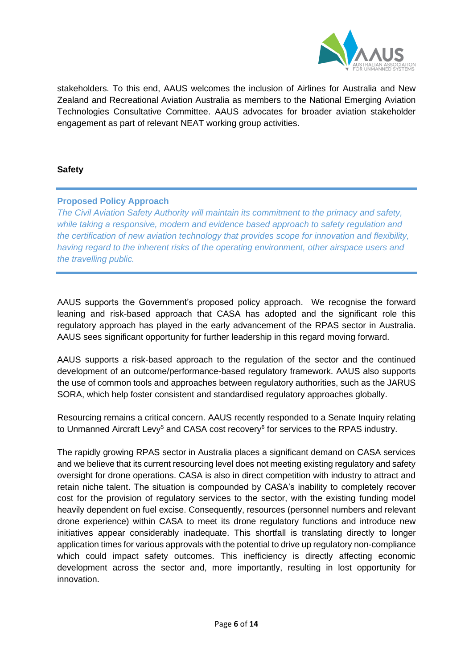

stakeholders. To this end, AAUS welcomes the inclusion of Airlines for Australia and New Zealand and Recreational Aviation Australia as members to the National Emerging Aviation Technologies Consultative Committee. AAUS advocates for broader aviation stakeholder engagement as part of relevant NEAT working group activities.

## **Safety**

## **Proposed Policy Approach**

*The Civil Aviation Safety Authority will maintain its commitment to the primacy and safety, while taking a responsive, modern and evidence based approach to safety regulation and the certification of new aviation technology that provides scope for innovation and flexibility, having regard to the inherent risks of the operating environment, other airspace users and the travelling public.* 

AAUS supports the Government's proposed policy approach. We recognise the forward leaning and risk-based approach that CASA has adopted and the significant role this regulatory approach has played in the early advancement of the RPAS sector in Australia. AAUS sees significant opportunity for further leadership in this regard moving forward.

AAUS supports a risk-based approach to the regulation of the sector and the continued development of an outcome/performance-based regulatory framework. AAUS also supports the use of common tools and approaches between regulatory authorities, such as the JARUS SORA, which help foster consistent and standardised regulatory approaches globally.

Resourcing remains a critical concern. AAUS recently responded to a Senate Inquiry relating to Unmanned Aircraft Levy<sup>5</sup> and CASA cost recovery<sup>6</sup> for services to the RPAS industry.

The rapidly growing RPAS sector in Australia places a significant demand on CASA services and we believe that its current resourcing level does not meeting existing regulatory and safety oversight for drone operations. CASA is also in direct competition with industry to attract and retain niche talent. The situation is compounded by CASA's inability to completely recover cost for the provision of regulatory services to the sector, with the existing funding model heavily dependent on fuel excise. Consequently, resources (personnel numbers and relevant drone experience) within CASA to meet its drone regulatory functions and introduce new initiatives appear considerably inadequate. This shortfall is translating directly to longer application times for various approvals with the potential to drive up regulatory non-compliance which could impact safety outcomes. This inefficiency is directly affecting economic development across the sector and, more importantly, resulting in lost opportunity for innovation.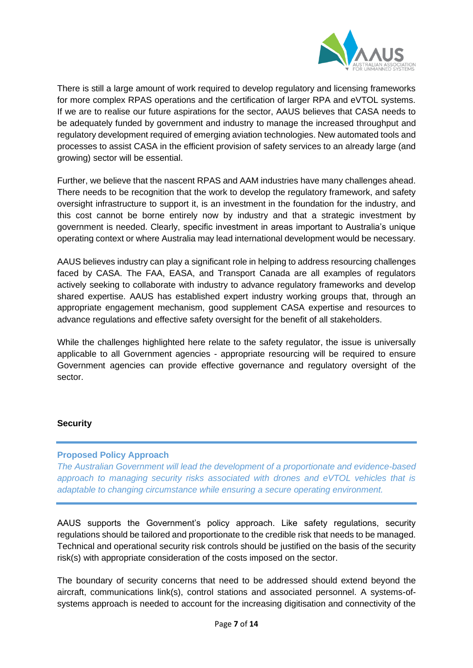

There is still a large amount of work required to develop regulatory and licensing frameworks for more complex RPAS operations and the certification of larger RPA and eVTOL systems. If we are to realise our future aspirations for the sector, AAUS believes that CASA needs to be adequately funded by government and industry to manage the increased throughput and regulatory development required of emerging aviation technologies. New automated tools and processes to assist CASA in the efficient provision of safety services to an already large (and growing) sector will be essential.

Further, we believe that the nascent RPAS and AAM industries have many challenges ahead. There needs to be recognition that the work to develop the regulatory framework, and safety oversight infrastructure to support it, is an investment in the foundation for the industry, and this cost cannot be borne entirely now by industry and that a strategic investment by government is needed. Clearly, specific investment in areas important to Australia's unique operating context or where Australia may lead international development would be necessary.

AAUS believes industry can play a significant role in helping to address resourcing challenges faced by CASA. The FAA, EASA, and Transport Canada are all examples of regulators actively seeking to collaborate with industry to advance regulatory frameworks and develop shared expertise. AAUS has established expert industry working groups that, through an appropriate engagement mechanism, good supplement CASA expertise and resources to advance regulations and effective safety oversight for the benefit of all stakeholders.

While the challenges highlighted here relate to the safety regulator, the issue is universally applicable to all Government agencies - appropriate resourcing will be required to ensure Government agencies can provide effective governance and regulatory oversight of the sector.

## **Security**

## **Proposed Policy Approach**

*The Australian Government will lead the development of a proportionate and evidence-based approach to managing security risks associated with drones and eVTOL vehicles that is adaptable to changing circumstance while ensuring a secure operating environment.* 

AAUS supports the Government's policy approach. Like safety regulations, security regulations should be tailored and proportionate to the credible risk that needs to be managed. Technical and operational security risk controls should be justified on the basis of the security risk(s) with appropriate consideration of the costs imposed on the sector.

The boundary of security concerns that need to be addressed should extend beyond the aircraft, communications link(s), control stations and associated personnel. A systems-ofsystems approach is needed to account for the increasing digitisation and connectivity of the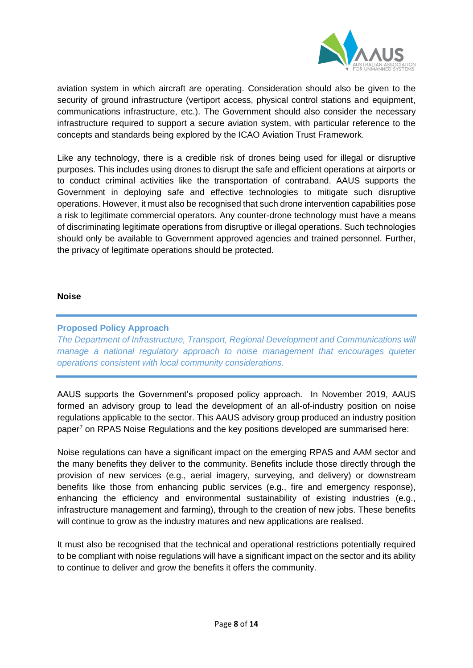

aviation system in which aircraft are operating. Consideration should also be given to the security of ground infrastructure (vertiport access, physical control stations and equipment, communications infrastructure, etc.). The Government should also consider the necessary infrastructure required to support a secure aviation system, with particular reference to the concepts and standards being explored by the ICAO Aviation Trust Framework.

Like any technology, there is a credible risk of drones being used for illegal or disruptive purposes. This includes using drones to disrupt the safe and efficient operations at airports or to conduct criminal activities like the transportation of contraband. AAUS supports the Government in deploying safe and effective technologies to mitigate such disruptive operations. However, it must also be recognised that such drone intervention capabilities pose a risk to legitimate commercial operators. Any counter-drone technology must have a means of discriminating legitimate operations from disruptive or illegal operations. Such technologies should only be available to Government approved agencies and trained personnel. Further, the privacy of legitimate operations should be protected.

#### **Noise**

## **Proposed Policy Approach**

*The Department of Infrastructure, Transport, Regional Development and Communications will manage a national regulatory approach to noise management that encourages quieter operations consistent with local community considerations.* 

AAUS supports the Government's proposed policy approach. In November 2019, AAUS formed an advisory group to lead the development of an all-of-industry position on noise regulations applicable to the sector. This AAUS advisory group produced an industry position paper<sup>7</sup> on RPAS Noise Regulations and the key positions developed are summarised here:

Noise regulations can have a significant impact on the emerging RPAS and AAM sector and the many benefits they deliver to the community. Benefits include those directly through the provision of new services (e.g., aerial imagery, surveying, and delivery) or downstream benefits like those from enhancing public services (e.g., fire and emergency response), enhancing the efficiency and environmental sustainability of existing industries (e.g., infrastructure management and farming), through to the creation of new jobs. These benefits will continue to grow as the industry matures and new applications are realised.

It must also be recognised that the technical and operational restrictions potentially required to be compliant with noise regulations will have a significant impact on the sector and its ability to continue to deliver and grow the benefits it offers the community.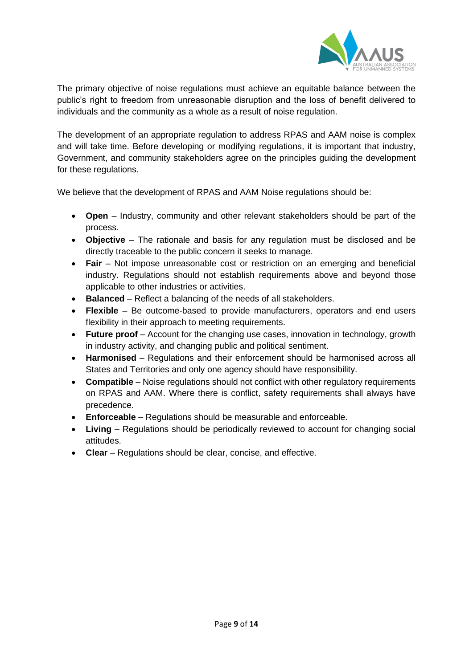

The primary objective of noise regulations must achieve an equitable balance between the public's right to freedom from unreasonable disruption and the loss of benefit delivered to individuals and the community as a whole as a result of noise regulation.

The development of an appropriate regulation to address RPAS and AAM noise is complex and will take time. Before developing or modifying regulations, it is important that industry, Government, and community stakeholders agree on the principles guiding the development for these regulations.

We believe that the development of RPAS and AAM Noise regulations should be:

- **Open** Industry, community and other relevant stakeholders should be part of the process.
- **Objective** The rationale and basis for any regulation must be disclosed and be directly traceable to the public concern it seeks to manage.
- **Fair** Not impose unreasonable cost or restriction on an emerging and beneficial industry. Regulations should not establish requirements above and beyond those applicable to other industries or activities.
- **Balanced** Reflect a balancing of the needs of all stakeholders.
- **Flexible** Be outcome-based to provide manufacturers, operators and end users flexibility in their approach to meeting requirements.
- **Future proof** Account for the changing use cases, innovation in technology, growth in industry activity, and changing public and political sentiment.
- **Harmonised** Regulations and their enforcement should be harmonised across all States and Territories and only one agency should have responsibility.
- **Compatible** Noise regulations should not conflict with other regulatory requirements on RPAS and AAM. Where there is conflict, safety requirements shall always have precedence.
- **Enforceable** Regulations should be measurable and enforceable.
- **Living** Regulations should be periodically reviewed to account for changing social attitudes.
- **Clear**  Regulations should be clear, concise, and effective.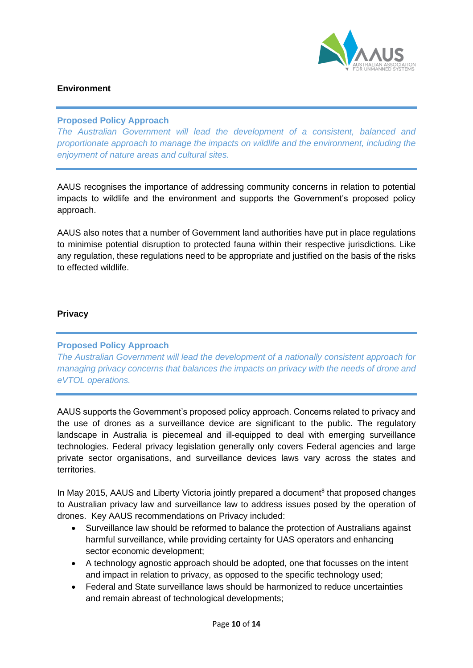

## **Environment**

## **Proposed Policy Approach**

*The Australian Government will lead the development of a consistent, balanced and proportionate approach to manage the impacts on wildlife and the environment, including the enjoyment of nature areas and cultural sites.*

AAUS recognises the importance of addressing community concerns in relation to potential impacts to wildlife and the environment and supports the Government's proposed policy approach.

AAUS also notes that a number of Government land authorities have put in place regulations to minimise potential disruption to protected fauna within their respective jurisdictions. Like any regulation, these regulations need to be appropriate and justified on the basis of the risks to effected wildlife.

## **Privacy**

## **Proposed Policy Approach**

*The Australian Government will lead the development of a nationally consistent approach for managing privacy concerns that balances the impacts on privacy with the needs of drone and eVTOL operations.* 

AAUS supports the Government's proposed policy approach. Concerns related to privacy and the use of drones as a surveillance device are significant to the public. The regulatory landscape in Australia is piecemeal and ill-equipped to deal with emerging surveillance technologies. Federal privacy legislation generally only covers Federal agencies and large private sector organisations, and surveillance devices laws vary across the states and territories.

In May 2015, AAUS and Liberty Victoria jointly prepared a document<sup>8</sup> that proposed changes to Australian privacy law and surveillance law to address issues posed by the operation of drones. Key AAUS recommendations on Privacy included:

- Surveillance law should be reformed to balance the protection of Australians against harmful surveillance, while providing certainty for UAS operators and enhancing sector economic development;
- A technology agnostic approach should be adopted, one that focusses on the intent and impact in relation to privacy, as opposed to the specific technology used;
- Federal and State surveillance laws should be harmonized to reduce uncertainties and remain abreast of technological developments;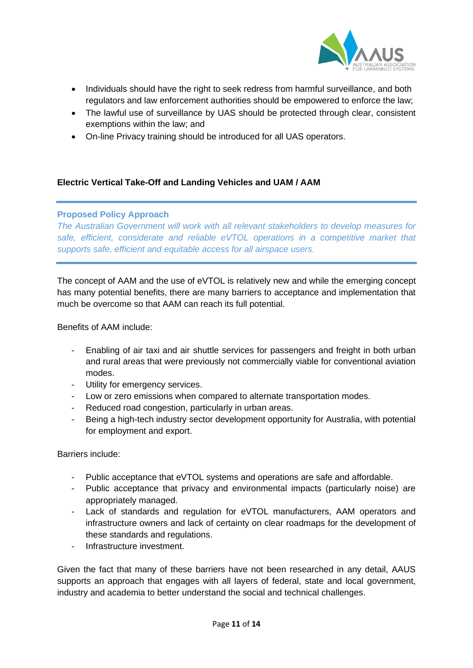

- Individuals should have the right to seek redress from harmful surveillance, and both regulators and law enforcement authorities should be empowered to enforce the law;
- The lawful use of surveillance by UAS should be protected through clear, consistent exemptions within the law; and
- On-line Privacy training should be introduced for all UAS operators.

## **Electric Vertical Take-Off and Landing Vehicles and UAM / AAM**

## **Proposed Policy Approach**

*The Australian Government will work with all relevant stakeholders to develop measures for safe, efficient, considerate and reliable eVTOL operations in a competitive market that supports safe, efficient and equitable access for all airspace users.* 

The concept of AAM and the use of eVTOL is relatively new and while the emerging concept has many potential benefits, there are many barriers to acceptance and implementation that much be overcome so that AAM can reach its full potential.

Benefits of AAM include:

- Enabling of air taxi and air shuttle services for passengers and freight in both urban and rural areas that were previously not commercially viable for conventional aviation modes.
- Utility for emergency services.
- Low or zero emissions when compared to alternate transportation modes.
- Reduced road congestion, particularly in urban areas.
- Being a high-tech industry sector development opportunity for Australia, with potential for employment and export.

Barriers include:

- Public acceptance that eVTOL systems and operations are safe and affordable.
- Public acceptance that privacy and environmental impacts (particularly noise) are appropriately managed.
- Lack of standards and regulation for eVTOL manufacturers, AAM operators and infrastructure owners and lack of certainty on clear roadmaps for the development of these standards and regulations.
- Infrastructure investment.

Given the fact that many of these barriers have not been researched in any detail, AAUS supports an approach that engages with all layers of federal, state and local government, industry and academia to better understand the social and technical challenges.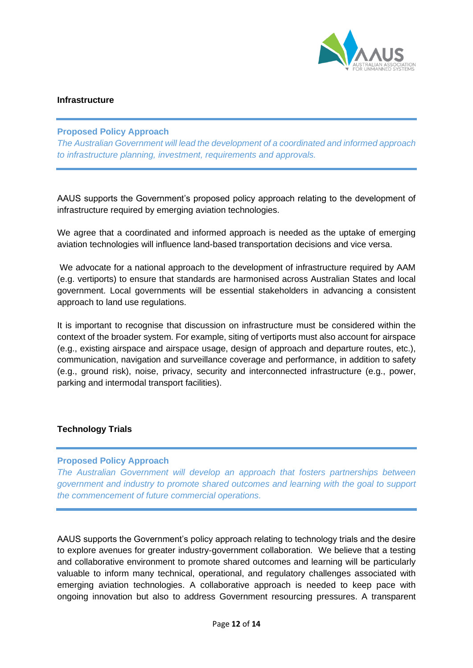

#### **Infrastructure**

#### **Proposed Policy Approach**

*The Australian Government will lead the development of a coordinated and informed approach to infrastructure planning, investment, requirements and approvals.* 

AAUS supports the Government's proposed policy approach relating to the development of infrastructure required by emerging aviation technologies.

We agree that a coordinated and informed approach is needed as the uptake of emerging aviation technologies will influence land-based transportation decisions and vice versa.

We advocate for a national approach to the development of infrastructure required by AAM (e.g. vertiports) to ensure that standards are harmonised across Australian States and local government. Local governments will be essential stakeholders in advancing a consistent approach to land use regulations.

It is important to recognise that discussion on infrastructure must be considered within the context of the broader system. For example, siting of vertiports must also account for airspace (e.g., existing airspace and airspace usage, design of approach and departure routes, etc.), communication, navigation and surveillance coverage and performance, in addition to safety (e.g., ground risk), noise, privacy, security and interconnected infrastructure (e.g., power, parking and intermodal transport facilities).

## **Technology Trials**

#### **Proposed Policy Approach**

*The Australian Government will develop an approach that fosters partnerships between government and industry to promote shared outcomes and learning with the goal to support the commencement of future commercial operations.* 

AAUS supports the Government's policy approach relating to technology trials and the desire to explore avenues for greater industry-government collaboration. We believe that a testing and collaborative environment to promote shared outcomes and learning will be particularly valuable to inform many technical, operational, and regulatory challenges associated with emerging aviation technologies. A collaborative approach is needed to keep pace with ongoing innovation but also to address Government resourcing pressures. A transparent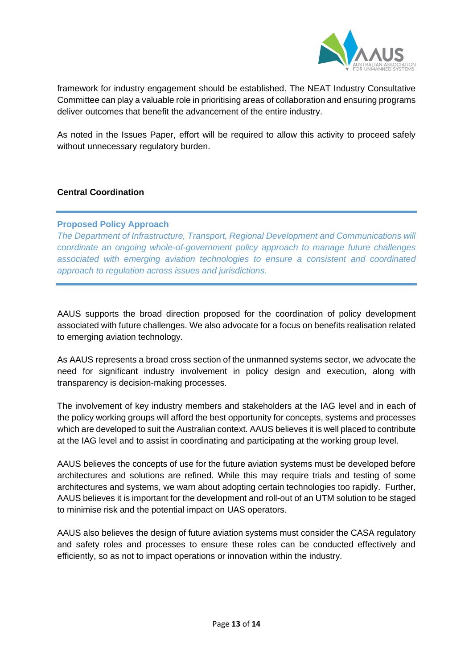

framework for industry engagement should be established. The NEAT Industry Consultative Committee can play a valuable role in prioritising areas of collaboration and ensuring programs deliver outcomes that benefit the advancement of the entire industry.

As noted in the Issues Paper, effort will be required to allow this activity to proceed safely without unnecessary regulatory burden.

## **Central Coordination**

## **Proposed Policy Approach**

*The Department of Infrastructure, Transport, Regional Development and Communications will coordinate an ongoing whole-of-government policy approach to manage future challenges associated with emerging aviation technologies to ensure a consistent and coordinated approach to regulation across issues and jurisdictions.* 

AAUS supports the broad direction proposed for the coordination of policy development associated with future challenges. We also advocate for a focus on benefits realisation related to emerging aviation technology.

As AAUS represents a broad cross section of the unmanned systems sector, we advocate the need for significant industry involvement in policy design and execution, along with transparency is decision-making processes.

The involvement of key industry members and stakeholders at the IAG level and in each of the policy working groups will afford the best opportunity for concepts, systems and processes which are developed to suit the Australian context. AAUS believes it is well placed to contribute at the IAG level and to assist in coordinating and participating at the working group level.

AAUS believes the concepts of use for the future aviation systems must be developed before architectures and solutions are refined. While this may require trials and testing of some architectures and systems, we warn about adopting certain technologies too rapidly. Further, AAUS believes it is important for the development and roll-out of an UTM solution to be staged to minimise risk and the potential impact on UAS operators.

AAUS also believes the design of future aviation systems must consider the CASA regulatory and safety roles and processes to ensure these roles can be conducted effectively and efficiently, so as not to impact operations or innovation within the industry.